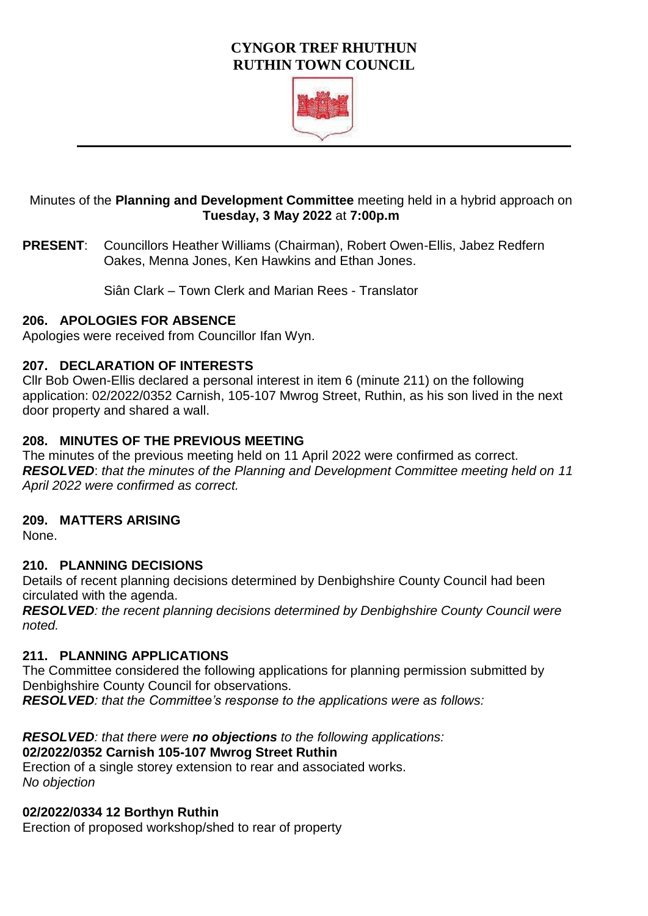# **CYNGOR TREF RHUTHUN RUTHIN TOWN COUNCIL**



## Minutes of the **Planning and Development Committee** meeting held in a hybrid approach on **Tuesday, 3 May 2022** at **7:00p.m**

**PRESENT**: Councillors Heather Williams (Chairman), Robert Owen-Ellis, Jabez Redfern Oakes, Menna Jones, Ken Hawkins and Ethan Jones.

Siân Clark – Town Clerk and Marian Rees - Translator

#### **206. APOLOGIES FOR ABSENCE**

Apologies were received from Councillor Ifan Wyn.

### **207. DECLARATION OF INTERESTS**

Cllr Bob Owen-Ellis declared a personal interest in item 6 (minute 211) on the following application: 02/2022/0352 Carnish, 105-107 Mwrog Street, Ruthin, as his son lived in the next door property and shared a wall.

#### **208. MINUTES OF THE PREVIOUS MEETING**

The minutes of the previous meeting held on 11 April 2022 were confirmed as correct. *RESOLVED*: *that the minutes of the Planning and Development Committee meeting held on 11 April 2022 were confirmed as correct.* 

### **209. MATTERS ARISING**

None.

### **210. PLANNING DECISIONS**

Details of recent planning decisions determined by Denbighshire County Council had been circulated with the agenda.

*RESOLVED: the recent planning decisions determined by Denbighshire County Council were noted.* 

#### **211. PLANNING APPLICATIONS**

The Committee considered the following applications for planning permission submitted by Denbighshire County Council for observations.

*RESOLVED: that the Committee's response to the applications were as follows:* 

### *RESOLVED: that there were no objections to the following applications:*

### **02/2022/0352 Carnish 105-107 Mwrog Street Ruthin**

Erection of a single storey extension to rear and associated works. *No objection*

#### **02/2022/0334 12 Borthyn Ruthin**

Erection of proposed workshop/shed to rear of property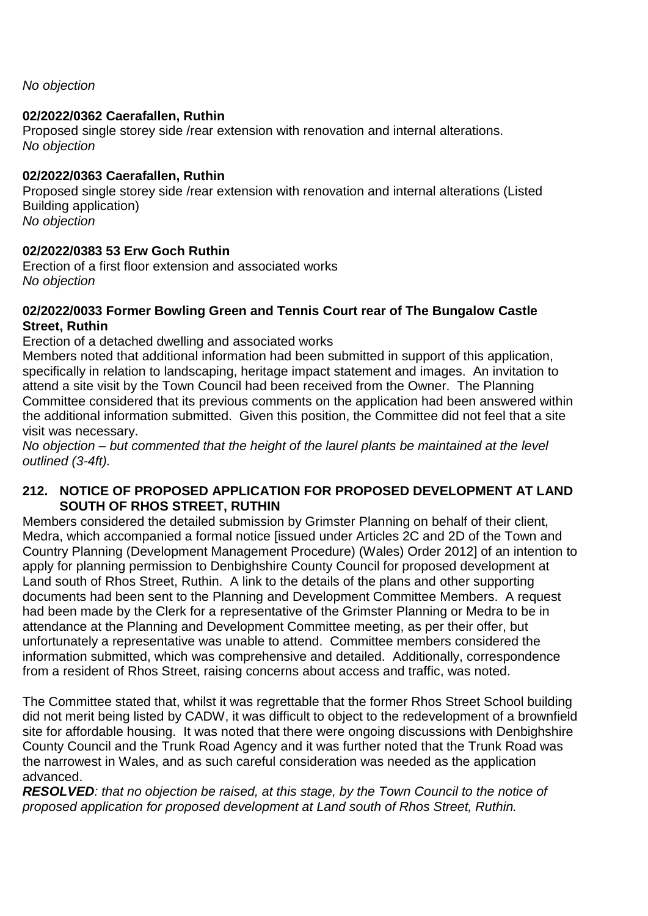*No objection*

# **02/2022/0362 Caerafallen, Ruthin**

Proposed single storey side /rear extension with renovation and internal alterations. *No objection*

# **02/2022/0363 Caerafallen, Ruthin**

Proposed single storey side /rear extension with renovation and internal alterations (Listed Building application) *No objection*

# **02/2022/0383 53 Erw Goch Ruthin**

Erection of a first floor extension and associated works *No objection*

### **02/2022/0033 Former Bowling Green and Tennis Court rear of The Bungalow Castle Street, Ruthin**

Erection of a detached dwelling and associated works

Members noted that additional information had been submitted in support of this application, specifically in relation to landscaping, heritage impact statement and images. An invitation to attend a site visit by the Town Council had been received from the Owner. The Planning Committee considered that its previous comments on the application had been answered within the additional information submitted. Given this position, the Committee did not feel that a site visit was necessary.

*No objection – but commented that the height of the laurel plants be maintained at the level outlined (3-4ft).*

# **212. NOTICE OF PROPOSED APPLICATION FOR PROPOSED DEVELOPMENT AT LAND SOUTH OF RHOS STREET, RUTHIN**

Members considered the detailed submission by Grimster Planning on behalf of their client, Medra, which accompanied a formal notice [issued under Articles 2C and 2D of the Town and Country Planning (Development Management Procedure) (Wales) Order 2012] of an intention to apply for planning permission to Denbighshire County Council for proposed development at Land south of Rhos Street, Ruthin. A link to the details of the plans and other supporting documents had been sent to the Planning and Development Committee Members. A request had been made by the Clerk for a representative of the Grimster Planning or Medra to be in attendance at the Planning and Development Committee meeting, as per their offer, but unfortunately a representative was unable to attend. Committee members considered the information submitted, which was comprehensive and detailed. Additionally, correspondence from a resident of Rhos Street, raising concerns about access and traffic, was noted.

The Committee stated that, whilst it was regrettable that the former Rhos Street School building did not merit being listed by CADW, it was difficult to object to the redevelopment of a brownfield site for affordable housing. It was noted that there were ongoing discussions with Denbighshire County Council and the Trunk Road Agency and it was further noted that the Trunk Road was the narrowest in Wales, and as such careful consideration was needed as the application advanced.

*RESOLVED: that no objection be raised, at this stage, by the Town Council to the notice of proposed application for proposed development at Land south of Rhos Street, Ruthin.*